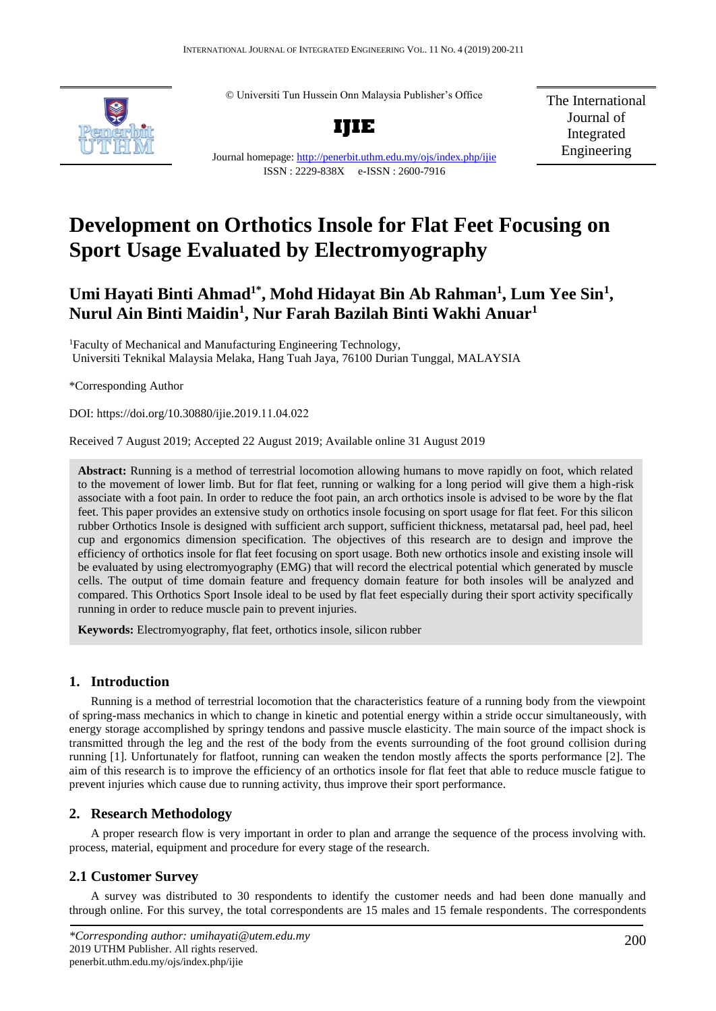© Universiti Tun Hussein Onn Malaysia Publisher's Office



**IJIE** Journal homepage:<http://penerbit.uthm.edu.my/ojs/index.php/ijie>

ISSN : 2229-838X e-ISSN : 2600-7916

The International Journal of Integrated Engineering

# **Development on Orthotics Insole for Flat Feet Focusing on Sport Usage Evaluated by Electromyography**

# Umi Hayati Binti Ahmad<sup>1\*</sup>, Mohd Hidayat Bin Ab Rahman<sup>1</sup>, Lum Yee Sin<sup>1</sup>, **Nurul Ain Binti Maidin<sup>1</sup> , Nur Farah Bazilah Binti Wakhi Anuar<sup>1</sup>**

<sup>1</sup>Faculty of Mechanical and Manufacturing Engineering Technology, Universiti Teknikal Malaysia Melaka, Hang Tuah Jaya, 76100 Durian Tunggal, MALAYSIA

\*Corresponding Author

DOI: https://doi.org/10.30880/ijie.2019.11.04.022

Received 7 August 2019; Accepted 22 August 2019; Available online 31 August 2019

**Abstract:** Running is a method of terrestrial locomotion allowing humans to move rapidly on foot, which related to the movement of lower limb. But for flat feet, running or walking for a long period will give them a high-risk associate with a foot pain. In order to reduce the foot pain, an arch orthotics insole is advised to be wore by the flat feet. This paper provides an extensive study on orthotics insole focusing on sport usage for flat feet. For this silicon rubber Orthotics Insole is designed with sufficient arch support, sufficient thickness, metatarsal pad, heel pad, heel cup and ergonomics dimension specification. The objectives of this research are to design and improve the efficiency of orthotics insole for flat feet focusing on sport usage. Both new orthotics insole and existing insole will be evaluated by using electromyography (EMG) that will record the electrical potential which generated by muscle cells. The output of time domain feature and frequency domain feature for both insoles will be analyzed and compared. This Orthotics Sport Insole ideal to be used by flat feet especially during their sport activity specifically running in order to reduce muscle pain to prevent injuries.

**Keywords:** Electromyography, flat feet, orthotics insole, silicon rubber

# **1. Introduction**

Running is a method of terrestrial locomotion that the characteristics feature of a running body from the viewpoint of spring-mass mechanics in which to change in kinetic and potential energy within a stride occur simultaneously, with energy storage accomplished by springy tendons and passive muscle elasticity. The main source of the impact shock is transmitted through the leg and the rest of the body from the events surrounding of the foot ground collision during running [1]. Unfortunately for flatfoot, running can weaken the tendon mostly affects the sports performance [2]. The aim of this research is to improve the efficiency of an orthotics insole for flat feet that able to reduce muscle fatigue to prevent injuries which cause due to running activity, thus improve their sport performance.

# **2. Research Methodology**

A proper research flow is very important in order to plan and arrange the sequence of the process involving with. process, material, equipment and procedure for every stage of the research.

# **2.1 Customer Survey**

A survey was distributed to 30 respondents to identify the customer needs and had been done manually and through online. For this survey, the total correspondents are 15 males and 15 female respondents. The correspondents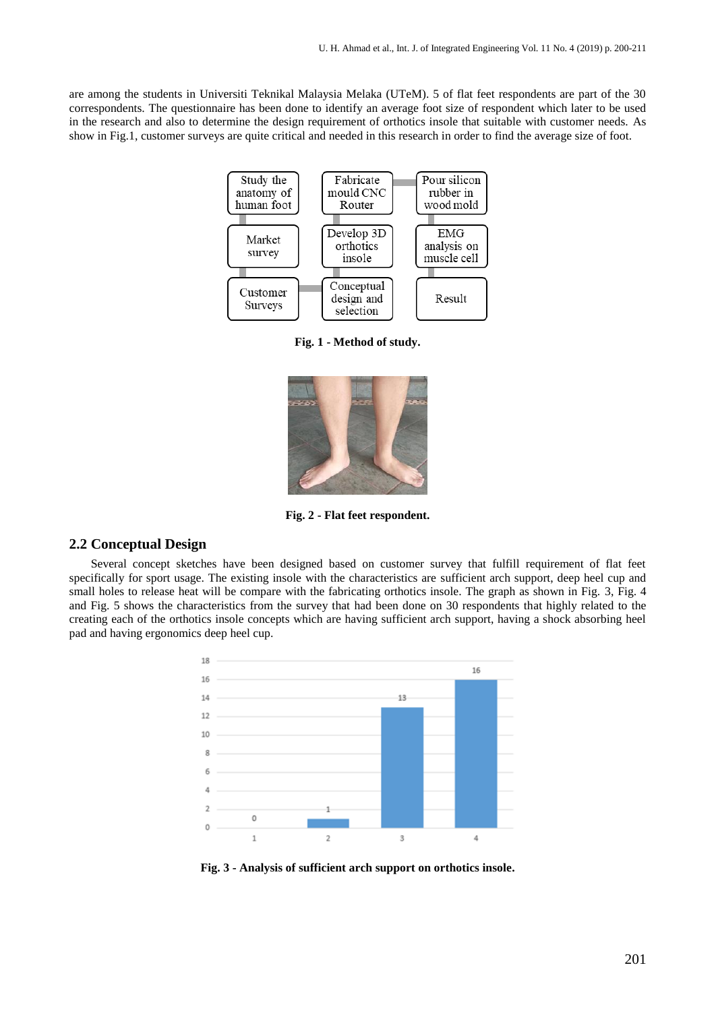are among the students in Universiti Teknikal Malaysia Melaka (UTeM). 5 of flat feet respondents are part of the 30 correspondents. The questionnaire has been done to identify an average foot size of respondent which later to be used in the research and also to determine the design requirement of orthotics insole that suitable with customer needs. As show in Fig.1, customer surveys are quite critical and needed in this research in order to find the average size of foot.



**Fig. 1 - Method of study.**



**Fig. 2 - Flat feet respondent.**

#### **2.2 Conceptual Design**

Several concept sketches have been designed based on customer survey that fulfill requirement of flat feet specifically for sport usage. The existing insole with the characteristics are sufficient arch support, deep heel cup and small holes to release heat will be compare with the fabricating orthotics insole. The graph as shown in Fig. 3, Fig. 4 and Fig. 5 shows the characteristics from the survey that had been done on 30 respondents that highly related to the creating each of the orthotics insole concepts which are having sufficient arch support, having a shock absorbing heel pad and having ergonomics deep heel cup.



**Fig. 3 - Analysis of sufficient arch support on orthotics insole.**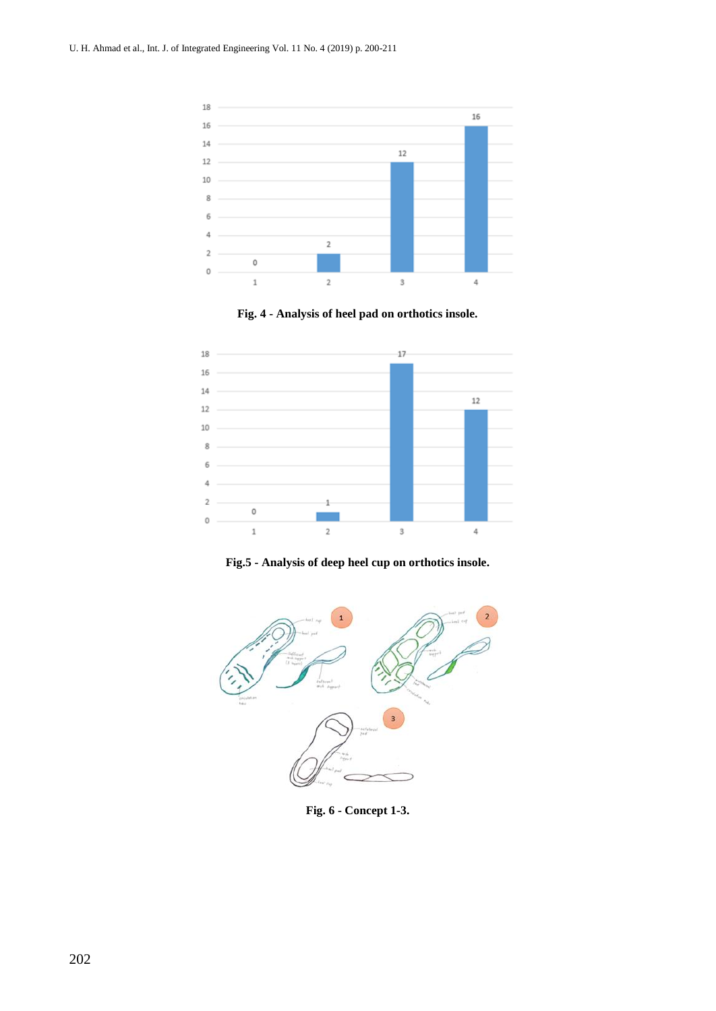

**Fig. 4 - Analysis of heel pad on orthotics insole.**



**Fig.5 - Analysis of deep heel cup on orthotics insole.**



**Fig. 6 - Concept 1-3.**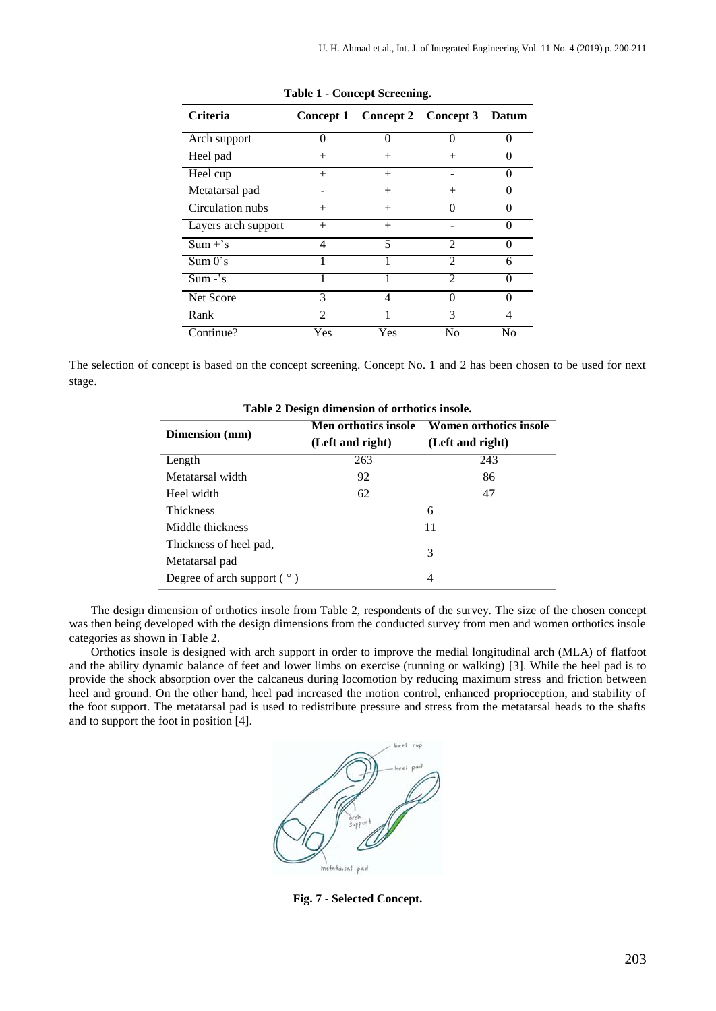| <b>Criteria</b>     | <b>Concept 1</b> | Concept 2 Concept 3 Datum |                             |                   |
|---------------------|------------------|---------------------------|-----------------------------|-------------------|
| Arch support        | 0                |                           | ∩                           | 0                 |
| Heel pad            | $^{+}$           | $+$                       | $^{+}$                      | $\mathbf{\Omega}$ |
| Heel cup            | $^{+}$           | $+$                       |                             | 0                 |
| Metatarsal pad      |                  |                           | $^{+}$                      |                   |
| Circulation nubs    | $^{+}$           | $+$                       | $\cup$                      | 0                 |
| Layers arch support | $^{+}$           | $^{+}$                    |                             | 0                 |
| $Sum + 's$          | 4                | 5                         | $\mathcal{D}_{\mathcal{A}}$ | O                 |
| Sum 0's             |                  |                           | $\mathcal{D}$               | 6                 |
| $Sum - 's$          |                  |                           | $\mathcal{D}$               |                   |
| Net Score           | 3                | 4                         | ∩                           | ∩                 |
| Rank                | $\mathfrak{D}$   |                           | 3                           | 4                 |
| Continue?           | Yes              | Yes                       | No                          | No                |

**Table 1 - Concept Screening.**

The selection of concept is based on the concept screening. Concept No. 1 and 2 has been chosen to be used for next stage.

| -wore = 2 compared and control of concerned and can |                      |                        |  |  |
|-----------------------------------------------------|----------------------|------------------------|--|--|
|                                                     | Men orthotics insole | Women orthotics insole |  |  |
| <b>Dimension</b> (mm)                               | (Left and right)     | (Left and right)       |  |  |
| Length                                              | 263                  | 243                    |  |  |
| Metatarsal width                                    | 92                   | 86                     |  |  |
| Heel width                                          | 62                   | 47                     |  |  |
| <b>Thickness</b>                                    |                      | 6                      |  |  |
| Middle thickness                                    |                      | 11                     |  |  |
| Thickness of heel pad,                              |                      | 3                      |  |  |
| Metatarsal pad                                      |                      |                        |  |  |
| Degree of arch support $(°)$                        |                      | 4                      |  |  |

**Table 2 Design dimension of orthotics insole.**

The design dimension of orthotics insole from Table 2, respondents of the survey. The size of the chosen concept was then being developed with the design dimensions from the conducted survey from men and women orthotics insole categories as shown in Table 2.

Orthotics insole is designed with arch support in order to improve the medial longitudinal arch (MLA) of flatfoot and the ability dynamic balance of feet and lower limbs on exercise (running or walking) [3]. While the heel pad is to provide the shock absorption over the calcaneus during locomotion by reducing maximum stress and friction between heel and ground. On the other hand, heel pad increased the motion control, enhanced proprioception, and stability of the foot support. The metatarsal pad is used to redistribute pressure and stress from the metatarsal heads to the shafts and to support the foot in position [4].



**Fig. 7 - Selected Concept.**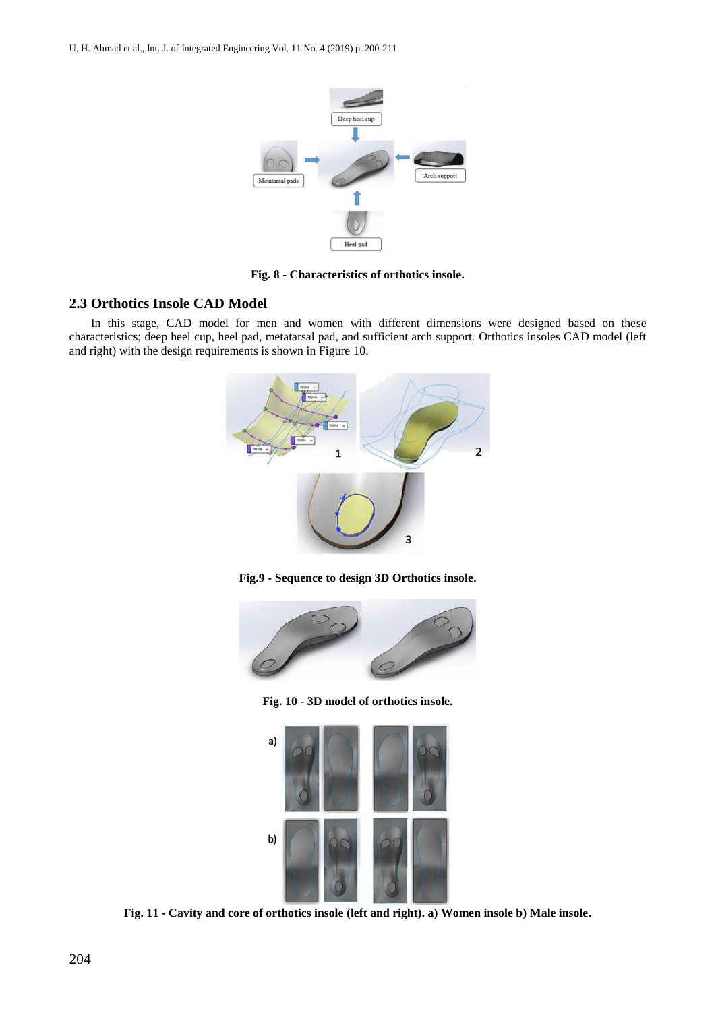

**Fig. 8 - Characteristics of orthotics insole.**

#### **2.3 Orthotics Insole CAD Model**

In this stage, CAD model for men and women with different dimensions were designed based on these characteristics; deep heel cup, heel pad, metatarsal pad, and sufficient arch support. Orthotics insoles CAD model (left and right) with the design requirements is shown in Figure 10.







**Fig. 10 - 3D model of orthotics insole.**



**Fig. 11 - Cavity and core of orthotics insole (left and right). a) Women insole b) Male insole.**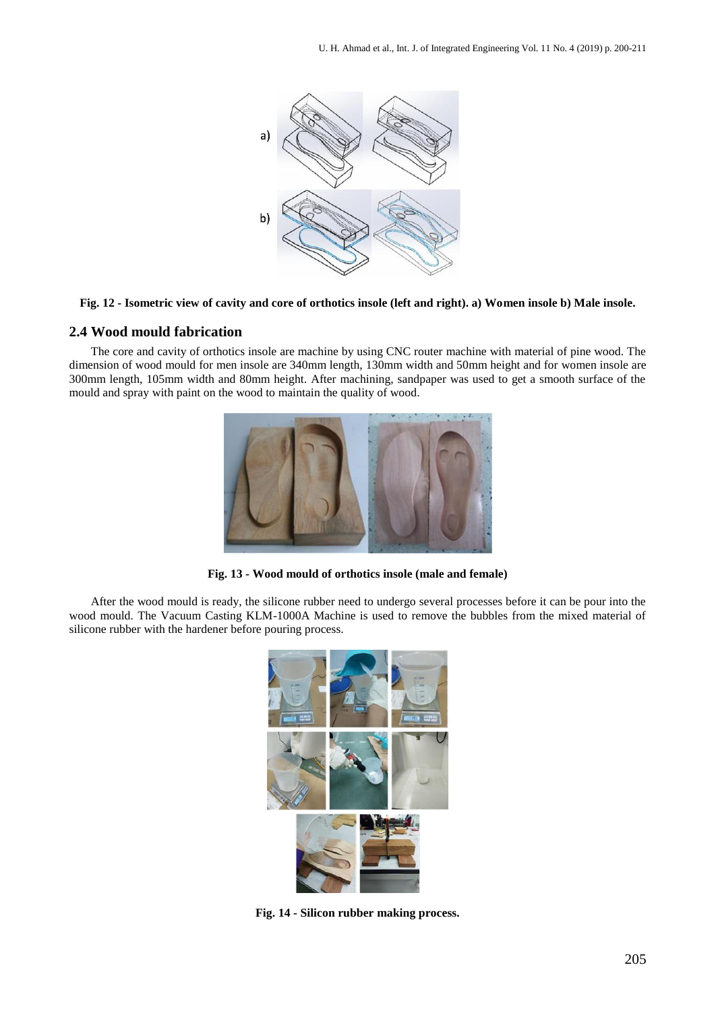

#### **Fig. 12 - Isometric view of cavity and core of orthotics insole (left and right). a) Women insole b) Male insole.**

#### **2.4 Wood mould fabrication**

The core and cavity of orthotics insole are machine by using CNC router machine with material of pine wood. The dimension of wood mould for men insole are 340mm length, 130mm width and 50mm height and for women insole are 300mm length, 105mm width and 80mm height. After machining, sandpaper was used to get a smooth surface of the mould and spray with paint on the wood to maintain the quality of wood.



**Fig. 13 - Wood mould of orthotics insole (male and female)**

After the wood mould is ready, the silicone rubber need to undergo several processes before it can be pour into the wood mould. The Vacuum Casting KLM-1000A Machine is used to remove the bubbles from the mixed material of silicone rubber with the hardener before pouring process.



**Fig. 14 - Silicon rubber making process.**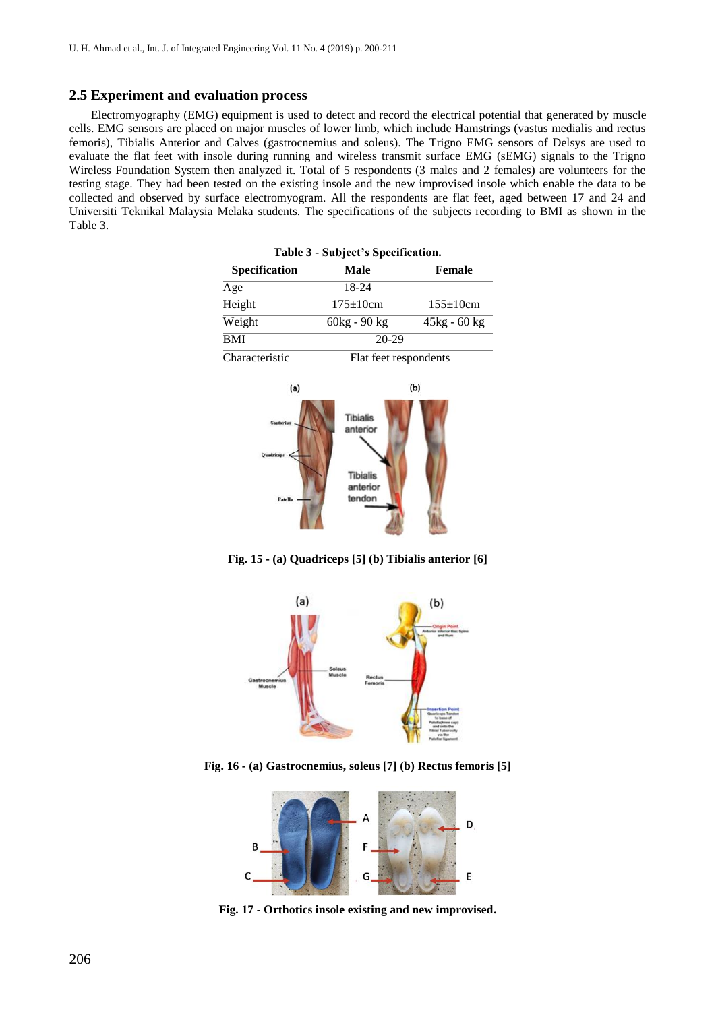#### **2.5 Experiment and evaluation process**

Electromyography (EMG) equipment is used to detect and record the electrical potential that generated by muscle cells. EMG sensors are placed on major muscles of lower limb, which include Hamstrings (vastus medialis and rectus femoris), Tibialis Anterior and Calves (gastrocnemius and soleus). The Trigno EMG sensors of Delsys are used to evaluate the flat feet with insole during running and wireless transmit surface EMG (sEMG) signals to the Trigno Wireless Foundation System then analyzed it. Total of 5 respondents (3 males and 2 females) are volunteers for the testing stage. They had been tested on the existing insole and the new improvised insole which enable the data to be collected and observed by surface electromyogram. All the respondents are flat feet, aged between 17 and 24 and Universiti Teknikal Malaysia Melaka students. The specifications of the subjects recording to BMI as shown in the Table 3.

| Table 3 - Subject's Specification. |                       |                 |  |
|------------------------------------|-----------------------|-----------------|--|
| Specification                      | Male                  | Female          |  |
| Age                                | 18-24                 |                 |  |
| Height                             | $175 \pm 10$ cm       | $155 \pm 10$ cm |  |
| Weight                             | $60kg - 90kg$         | $45kg - 60kg$   |  |
| BMI                                | $20 - 29$             |                 |  |
| Characteristic                     | Flat feet respondents |                 |  |
|                                    |                       |                 |  |



**Fig. 15 - (a) Quadriceps [5] (b) Tibialis anterior [6]**



**Fig. 16 - (a) Gastrocnemius, soleus [7] (b) Rectus femoris [5]**



**Fig. 17 - Orthotics insole existing and new improvised.**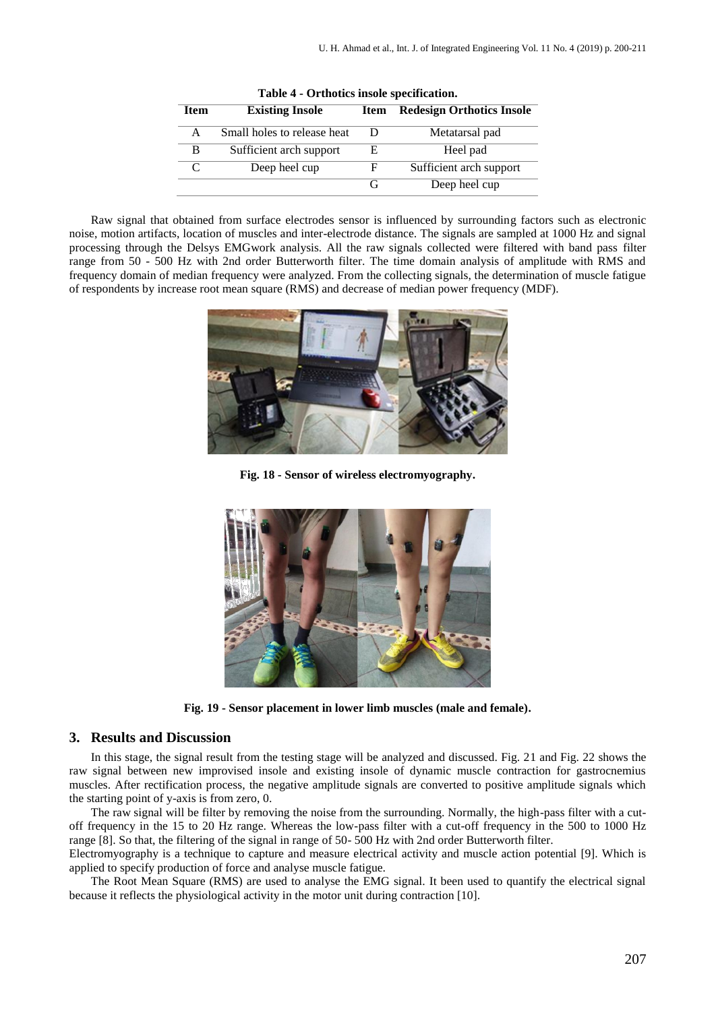| rable + - Orthotics mode specification. |                             |      |                                  |  |  |
|-----------------------------------------|-----------------------------|------|----------------------------------|--|--|
| <b>Item</b>                             | <b>Existing Insole</b>      | Item | <b>Redesign Orthotics Insole</b> |  |  |
| A                                       | Small holes to release heat | Ð    | Metatarsal pad                   |  |  |
| B                                       | Sufficient arch support     | Е    | Heel pad                         |  |  |
|                                         | Deep heel cup               | F    | Sufficient arch support          |  |  |
|                                         |                             |      | Deep heel cup                    |  |  |

**Table 4 - Orthotics insole specification.**

Raw signal that obtained from surface electrodes sensor is influenced by surrounding factors such as electronic noise, motion artifacts, location of muscles and inter-electrode distance. The signals are sampled at 1000 Hz and signal processing through the Delsys EMGwork analysis. All the raw signals collected were filtered with band pass filter range from 50 - 500 Hz with 2nd order Butterworth filter. The time domain analysis of amplitude with RMS and frequency domain of median frequency were analyzed. From the collecting signals, the determination of muscle fatigue of respondents by increase root mean square (RMS) and decrease of median power frequency (MDF).



**Fig. 18 - Sensor of wireless electromyography.**



**Fig. 19 - Sensor placement in lower limb muscles (male and female).**

#### **3. Results and Discussion**

In this stage, the signal result from the testing stage will be analyzed and discussed. Fig. 21 and Fig. 22 shows the raw signal between new improvised insole and existing insole of dynamic muscle contraction for gastrocnemius muscles. After rectification process, the negative amplitude signals are converted to positive amplitude signals which the starting point of y-axis is from zero, 0.

The raw signal will be filter by removing the noise from the surrounding. Normally, the high-pass filter with a cutoff frequency in the 15 to 20 Hz range. Whereas the low-pass filter with a cut-off frequency in the 500 to 1000 Hz range [8]. So that, the filtering of the signal in range of 50- 500 Hz with 2nd order Butterworth filter.

Electromyography is a technique to capture and measure electrical activity and muscle action potential [9]. Which is applied to specify production of force and analyse muscle fatigue.

The Root Mean Square (RMS) are used to analyse the EMG signal. It been used to quantify the electrical signal because it reflects the physiological activity in the motor unit during contraction [10].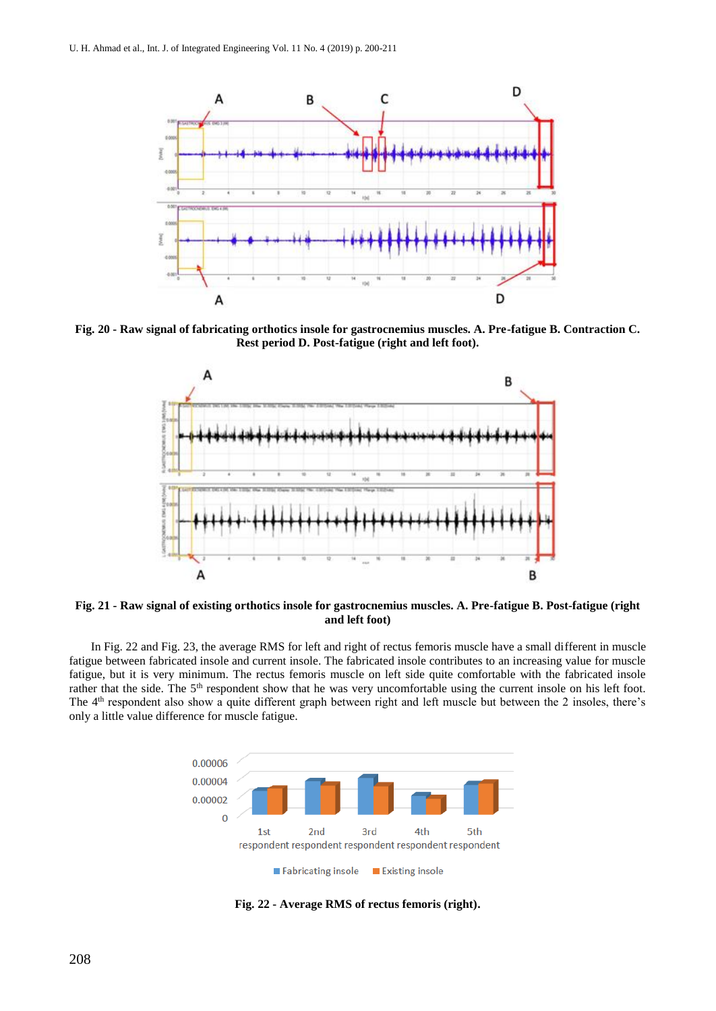

**Fig. 20 - Raw signal of fabricating orthotics insole for gastrocnemius muscles. A. Pre-fatigue B. Contraction C. Rest period D. Post-fatigue (right and left foot).**



**Fig. 21 - Raw signal of existing orthotics insole for gastrocnemius muscles. A. Pre-fatigue B. Post-fatigue (right and left foot)**

In Fig. 22 and Fig. 23, the average RMS for left and right of rectus femoris muscle have a small different in muscle fatigue between fabricated insole and current insole. The fabricated insole contributes to an increasing value for muscle fatigue, but it is very minimum. The rectus femoris muscle on left side quite comfortable with the fabricated insole rather that the side. The 5<sup>th</sup> respondent show that he was very uncomfortable using the current insole on his left foot. The 4<sup>th</sup> respondent also show a quite different graph between right and left muscle but between the 2 insoles, there's only a little value difference for muscle fatigue.



**Fig. 22 - Average RMS of rectus femoris (right).**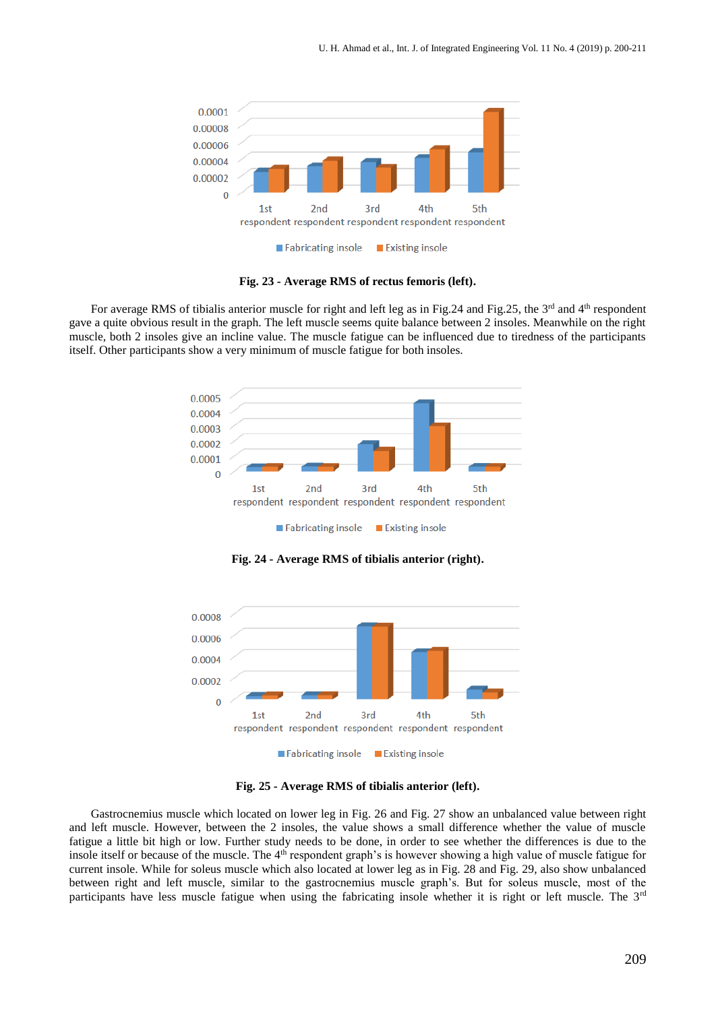

**Fig. 23 - Average RMS of rectus femoris (left).**

For average RMS of tibialis anterior muscle for right and left leg as in Fig.24 and Fig.25, the 3<sup>rd</sup> and 4<sup>th</sup> respondent gave a quite obvious result in the graph. The left muscle seems quite balance between 2 insoles. Meanwhile on the right muscle, both 2 insoles give an incline value. The muscle fatigue can be influenced due to tiredness of the participants itself. Other participants show a very minimum of muscle fatigue for both insoles.



**Fig. 24 - Average RMS of tibialis anterior (right).**



**Fig. 25 - Average RMS of tibialis anterior (left).**

Gastrocnemius muscle which located on lower leg in Fig. 26 and Fig. 27 show an unbalanced value between right and left muscle. However, between the 2 insoles, the value shows a small difference whether the value of muscle fatigue a little bit high or low. Further study needs to be done, in order to see whether the differences is due to the insole itself or because of the muscle. The 4<sup>th</sup> respondent graph's is however showing a high value of muscle fatigue for current insole. While for soleus muscle which also located at lower leg as in Fig. 28 and Fig. 29, also show unbalanced between right and left muscle, similar to the gastrocnemius muscle graph's. But for soleus muscle, most of the participants have less muscle fatigue when using the fabricating insole whether it is right or left muscle. The 3<sup>rd</sup>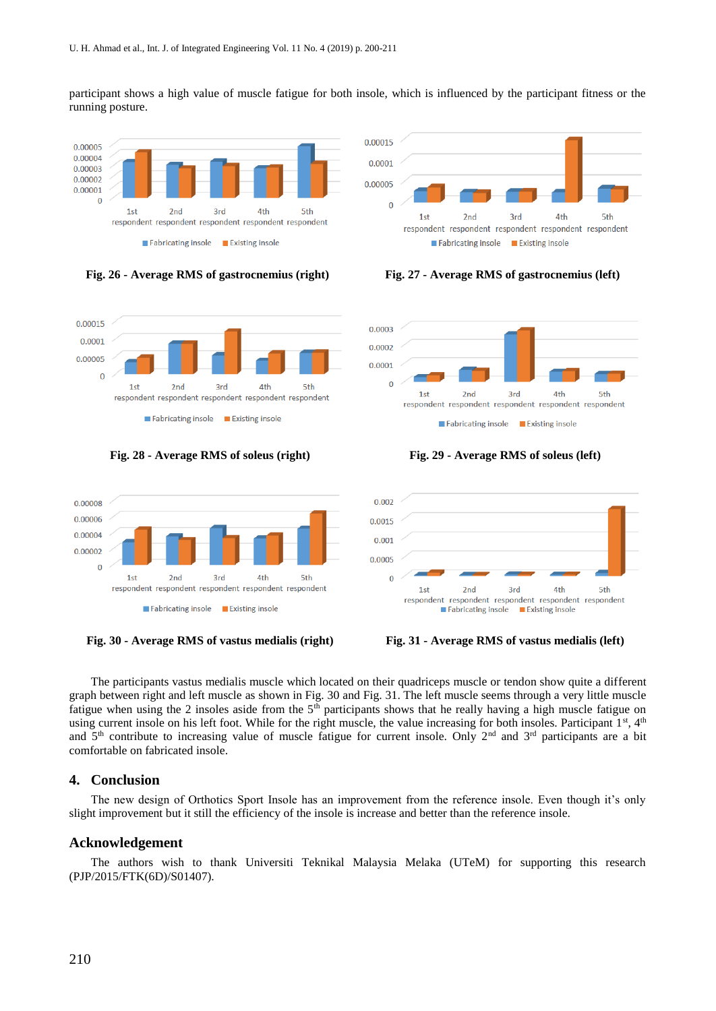participant shows a high value of muscle fatigue for both insole, which is influenced by the participant fitness or the running posture.



#### **Fig. 26 - Average RMS of gastrocnemius (right) Fig. 27 - Average RMS of gastrocnemius (left)**



**Fig. 28 - Average RMS of soleus (right) Fig. 29 - Average RMS of soleus (left)**









**Fig. 30 - Average RMS of vastus medialis (right) Fig. 31 - Average RMS of vastus medialis (left)**

The participants vastus medialis muscle which located on their quadriceps muscle or tendon show quite a different graph between right and left muscle as shown in Fig. 30 and Fig. 31. The left muscle seems through a very little muscle fatigue when using the 2 insoles aside from the  $5<sup>th</sup>$  participants shows that he really having a high muscle fatigue on using current insole on his left foot. While for the right muscle, the value increasing for both insoles. Participant 1st, 4th and 5<sup>th</sup> contribute to increasing value of muscle fatigue for current insole. Only 2<sup>nd</sup> and 3<sup>rd</sup> participants are a bit comfortable on fabricated insole.

#### **4. Conclusion**

The new design of Orthotics Sport Insole has an improvement from the reference insole. Even though it's only slight improvement but it still the efficiency of the insole is increase and better than the reference insole.

#### **Acknowledgement**

The authors wish to thank Universiti Teknikal Malaysia Melaka (UTeM) for supporting this research (PJP/2015/FTK(6D)/S01407).